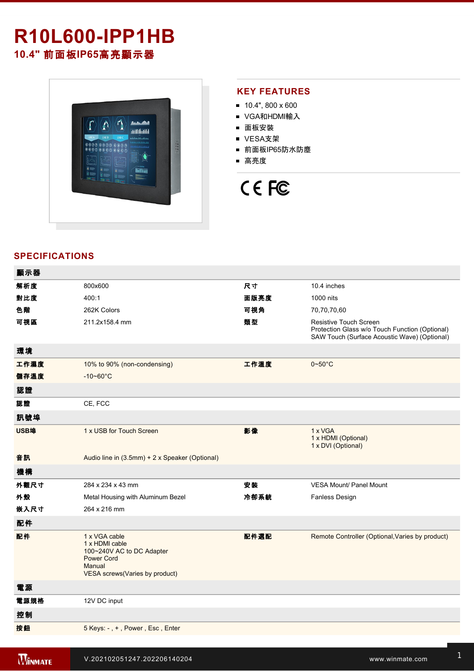# **R10L600IPP1HB**

**10.4"** 前面板**IP65**高亮顯示器



### **KEY FEATURES**

- $10.4$ ", 800 x 600
- VGA和HDMI輸入
- 面板安裝
- VESA支架
- 前面板IP65防水防塵
- 高亮度



## **SPECIFICATIONS**

| 顯示器  |                                                                                                                                      |      |                                                                                                                                 |
|------|--------------------------------------------------------------------------------------------------------------------------------------|------|---------------------------------------------------------------------------------------------------------------------------------|
| 解析度  | 800x600                                                                                                                              | 尺寸   | 10.4 inches                                                                                                                     |
| 對比度  | 400:1                                                                                                                                | 面版亮度 | 1000 nits                                                                                                                       |
| 色階   | 262K Colors                                                                                                                          | 可視角  | 70,70,70,60                                                                                                                     |
| 可視區  | 211.2x158.4 mm                                                                                                                       | 類型   | <b>Resistive Touch Screen</b><br>Protection Glass w/o Touch Function (Optional)<br>SAW Touch (Surface Acoustic Wave) (Optional) |
| 環境   |                                                                                                                                      |      |                                                                                                                                 |
| 工作濕度 | 10% to 90% (non-condensing)                                                                                                          | 工作溫度 | $0 \sim 50^{\circ}$ C                                                                                                           |
| 儲存溫度 | $-10 - 60^{\circ}C$                                                                                                                  |      |                                                                                                                                 |
| 認證   |                                                                                                                                      |      |                                                                                                                                 |
| 認證   | CE, FCC                                                                                                                              |      |                                                                                                                                 |
| 訊號埠  |                                                                                                                                      |      |                                                                                                                                 |
| USB埠 | 1 x USB for Touch Screen                                                                                                             | 影像   | 1 x VGA<br>1 x HDMI (Optional)<br>1 x DVI (Optional)                                                                            |
| 音訊   | Audio line in (3.5mm) + 2 x Speaker (Optional)                                                                                       |      |                                                                                                                                 |
| 機構   |                                                                                                                                      |      |                                                                                                                                 |
| 外觀尺寸 | 284 x 234 x 43 mm                                                                                                                    | 安裝   | VESA Mount/ Panel Mount                                                                                                         |
| 外殼   | Metal Housing with Aluminum Bezel                                                                                                    | 冷卻系統 | <b>Fanless Design</b>                                                                                                           |
| 嵌入尺寸 | 264 x 216 mm                                                                                                                         |      |                                                                                                                                 |
| 配件   |                                                                                                                                      |      |                                                                                                                                 |
| 配件   | 1 x VGA cable<br>1 x HDMI cable<br>100~240V AC to DC Adapter<br><b>Power Cord</b><br>Manual<br><b>VESA screws(Varies by product)</b> | 配件選配 | Remote Controller (Optional, Varies by product)                                                                                 |
| 電源   |                                                                                                                                      |      |                                                                                                                                 |
| 電源規格 | 12V DC input                                                                                                                         |      |                                                                                                                                 |
| 控制   |                                                                                                                                      |      |                                                                                                                                 |
| 按鈕   | 5 Keys: -, +, Power, Esc, Enter                                                                                                      |      |                                                                                                                                 |
|      |                                                                                                                                      |      |                                                                                                                                 |

**Windows 2002 Property Construction Construction**